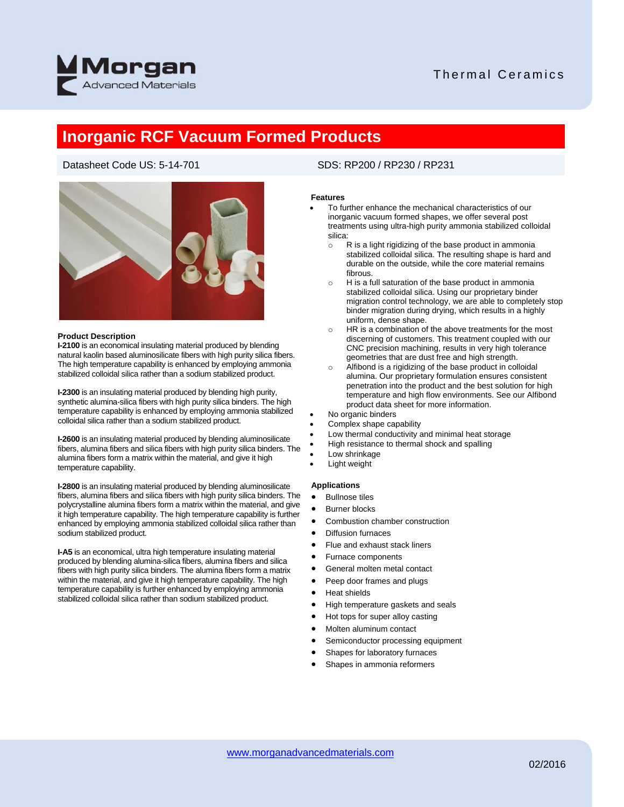

## Thermal Ceramics

## **Inorganic RCF Vacuum Formed Products**

## Datasheet Code US: 5-14-701 SDS: RP200 / RP230 / RP231



### **Product Description**

**I-2100** is an economical insulating material produced by blending natural kaolin based aluminosilicate fibers with high purity silica fibers. The high temperature capability is enhanced by employing ammonia stabilized colloidal silica rather than a sodium stabilized product.

**I-2300** is an insulating material produced by blending high purity, synthetic alumina-silica fibers with high purity silica binders. The high temperature capability is enhanced by employing ammonia stabilized colloidal silica rather than a sodium stabilized product.

**I-2600** is an insulating material produced by blending aluminosilicate fibers, alumina fibers and silica fibers with high purity silica binders. The alumina fibers form a matrix within the material, and give it high temperature capability.

**I-2800** is an insulating material produced by blending aluminosilicate fibers, alumina fibers and silica fibers with high purity silica binders. The polycrystalline alumina fibers form a matrix within the material, and give it high temperature capability. The high temperature capability is further enhanced by employing ammonia stabilized colloidal silica rather than sodium stabilized product.

**I-A5** is an economical, ultra high temperature insulating material produced by blending alumina-silica fibers, alumina fibers and silica fibers with high purity silica binders. The alumina fibers form a matrix within the material, and give it high temperature capability. The high temperature capability is further enhanced by employing ammonia stabilized colloidal silica rather than sodium stabilized product.

### **Features**

- To further enhance the mechanical characteristics of our inorganic vacuum formed shapes, we offer several post treatments using ultra-high purity ammonia stabilized colloidal silica:
	- $\circ$  R is a light rigidizing of the base product in ammonia stabilized colloidal silica. The resulting shape is hard and durable on the outside, while the core material remains fibrous.
	- o H is a full saturation of the base product in ammonia stabilized colloidal silica. Using our proprietary binder migration control technology, we are able to completely stop binder migration during drying, which results in a highly uniform, dense shape.
	- o HR is a combination of the above treatments for the most discerning of customers. This treatment coupled with our CNC precision machining, results in very high tolerance geometries that are dust free and high strength.
	- o Alfibond is a rigidizing of the base product in colloidal alumina. Our proprietary formulation ensures consistent penetration into the product and the best solution for high temperature and high flow environments. See our Alfibond product data sheet for more information.
- No organic binders
- Complex shape capability
- Low thermal conductivity and minimal heat storage
- High resistance to thermal shock and spalling
- Low shrinkage
- Light weight

### **Applications**

- Bullnose tiles
- Burner blocks
- Combustion chamber construction
- Diffusion furnaces
- Flue and exhaust stack liners
- Furnace components
- General molten metal contact
- Peep door frames and plugs
- Heat shields
- High temperature gaskets and seals
- Hot tops for super alloy casting
- Molten aluminum contact
- Semiconductor processing equipment
- Shapes for laboratory furnaces
- Shapes in ammonia reformers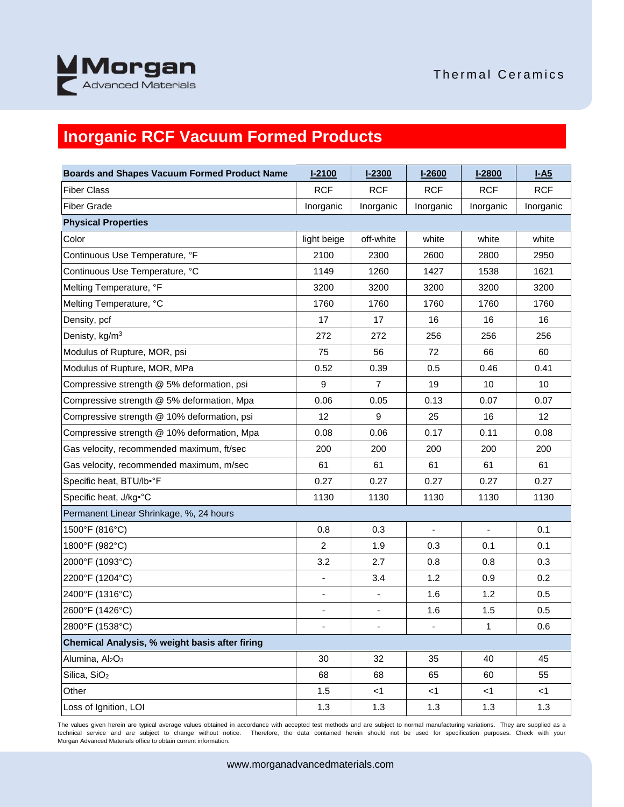

# **Inorganic RCF Vacuum Formed Products**

| <b>Boards and Shapes Vacuum Formed Product Name</b> | $I-2100$                 | $1 - 2300$               | $1 - 2600$     | $1 - 2800$               | $I-A5$          |
|-----------------------------------------------------|--------------------------|--------------------------|----------------|--------------------------|-----------------|
| <b>Fiber Class</b>                                  | <b>RCF</b>               | <b>RCF</b>               | <b>RCF</b>     | <b>RCF</b>               | <b>RCF</b>      |
| <b>Fiber Grade</b>                                  | Inorganic                | Inorganic                | Inorganic      | Inorganic                | Inorganic       |
| <b>Physical Properties</b>                          |                          |                          |                |                          |                 |
| Color                                               | light beige              | off-white                | white          | white                    | white           |
| Continuous Use Temperature, °F                      | 2100                     | 2300                     | 2600           | 2800                     | 2950            |
| Continuous Use Temperature, °C                      | 1149                     | 1260                     | 1427           | 1538                     | 1621            |
| Melting Temperature, °F                             | 3200                     | 3200                     | 3200           | 3200                     | 3200            |
| Melting Temperature, °C                             | 1760                     | 1760                     | 1760           | 1760                     | 1760            |
| Density, pcf                                        | 17                       | 17                       | 16             | 16                       | 16              |
| Denisty, kg/m <sup>3</sup>                          | 272                      | 272                      | 256            | 256                      | 256             |
| Modulus of Rupture, MOR, psi                        | 75                       | 56                       | 72             | 66                       | 60              |
| Modulus of Rupture, MOR, MPa                        | 0.52                     | 0.39                     | 0.5            | 0.46                     | 0.41            |
| Compressive strength @ 5% deformation, psi          | 9                        | 7                        | 19             | 10                       | 10              |
| Compressive strength @ 5% deformation, Mpa          | 0.06                     | 0.05                     | 0.13           | 0.07                     | 0.07            |
| Compressive strength @ 10% deformation, psi         | 12                       | 9                        | 25             | 16                       | 12 <sup>°</sup> |
| Compressive strength @ 10% deformation, Mpa         | 0.08                     | 0.06                     | 0.17           | 0.11                     | 0.08            |
| Gas velocity, recommended maximum, ft/sec           | 200                      | 200                      | 200            | 200                      | 200             |
| Gas velocity, recommended maximum, m/sec            | 61                       | 61                       | 61             | 61                       | 61              |
| Specific heat, BTU/lb•°F                            | 0.27                     | 0.27                     | 0.27           | 0.27                     | 0.27            |
| Specific heat, J/kg <sup>®</sup> C                  | 1130                     | 1130                     | 1130           | 1130                     | 1130            |
| Permanent Linear Shrinkage, %, 24 hours             |                          |                          |                |                          |                 |
| 1500°F (816°C)                                      | 0.8                      | 0.3                      | $\blacksquare$ | $\overline{\phantom{a}}$ | 0.1             |
| 1800°F (982°C)                                      | $\overline{2}$           | 1.9                      | 0.3            | 0.1                      | 0.1             |
| 2000°F (1093°C)                                     | 3.2                      | 2.7                      | 0.8            | 0.8                      | 0.3             |
| 2200°F (1204°C)                                     | $\blacksquare$           | 3.4                      | 1.2            | 0.9                      | 0.2             |
| 2400°F (1316°C)                                     | $\overline{\phantom{a}}$ | $\overline{\phantom{a}}$ | 1.6            | 1.2                      | 0.5             |
| 2600°F (1426°C)                                     | $\overline{\phantom{a}}$ | $\overline{\phantom{a}}$ | 1.6            | 1.5                      | 0.5             |
| 2800°F (1538°C)                                     |                          | ÷,                       | ÷.             | 1                        | 0.6             |
| Chemical Analysis, % weight basis after firing      |                          |                          |                |                          |                 |
| Alumina, Al <sub>2</sub> O <sub>3</sub>             | 30                       | 32                       | 35             | 40                       | 45              |
| Silica, SiO <sub>2</sub>                            | 68                       | 68                       | 65             | 60                       | 55              |
| Other                                               | 1.5                      | $<$ 1                    | $<$ 1          | $<$ 1                    | <1              |
| Loss of Ignition, LOI                               | 1.3                      | 1.3                      | 1.3            | 1.3                      | 1.3             |

The values given herein are typical average values obtained in accordance with accepted test methods and are subject to normal manufacturing variations. They are supplied as a technical service and are subject to change without notice. Therefore, the data contained herein should not be used for specification purposes. Check with your Morgan Advanced Materials office to obtain current information.